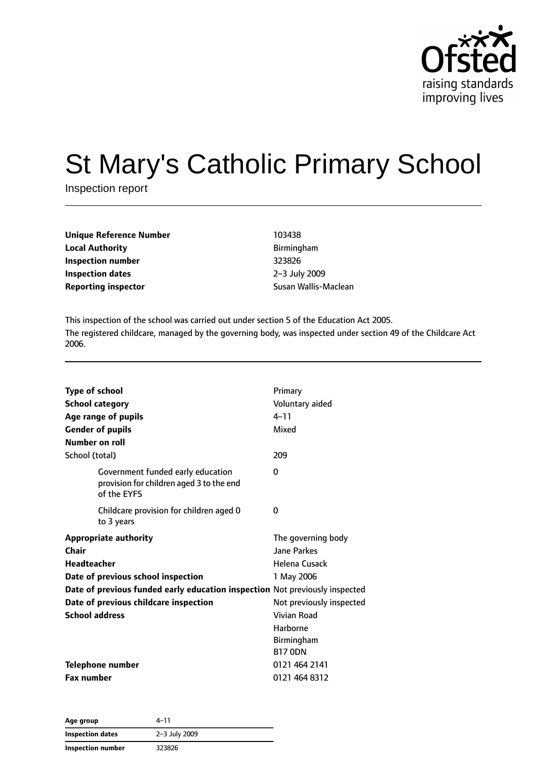

# St Mary's Catholic Primary School

Inspection report

| <b>Unique Reference Number</b> | 103438               |
|--------------------------------|----------------------|
| <b>Local Authority</b>         | Birmingham           |
| Inspection number              | 323826               |
| Inspection dates               | 2-3 July 2009        |
| <b>Reporting inspector</b>     | Susan Wallis-Maclean |

**Local Authority** Birmingham **Inspection number** 323826 **Inspection dates** 2–3 July 2009

This inspection of the school was carried out under section 5 of the Education Act 2005. The registered childcare, managed by the governing body, was inspected under section 49 of the Childcare Act 2006.

| <b>Type of school</b>                                                                        | Primary                  |
|----------------------------------------------------------------------------------------------|--------------------------|
| <b>School category</b>                                                                       | Voluntary aided          |
| Age range of pupils                                                                          | $4 - 11$                 |
| <b>Gender of pupils</b>                                                                      | Mixed                    |
| Number on roll                                                                               |                          |
| School (total)                                                                               | 209                      |
| Government funded early education<br>provision for children aged 3 to the end<br>of the EYFS | 0                        |
| Childcare provision for children aged 0<br>to 3 years                                        | 0                        |
| <b>Appropriate authority</b>                                                                 | The governing body       |
| <b>Chair</b>                                                                                 | <b>Jane Parkes</b>       |
| <b>Headteacher</b>                                                                           | Helena Cusack            |
| Date of previous school inspection                                                           | 1 May 2006               |
| Date of previous funded early education inspection Not previously inspected                  |                          |
| Date of previous childcare inspection                                                        | Not previously inspected |
| <b>School address</b>                                                                        | Vivian Road              |
|                                                                                              | Harborne                 |
|                                                                                              | Birmingham               |
|                                                                                              | <b>B17 ODN</b>           |
| <b>Telephone number</b>                                                                      | 0121 464 2141            |
| <b>Fax number</b>                                                                            | 0121 464 8312            |

| Age group         | 4–11          |
|-------------------|---------------|
| Inspection dates  | 2-3 July 2009 |
| Inspection number | 323826        |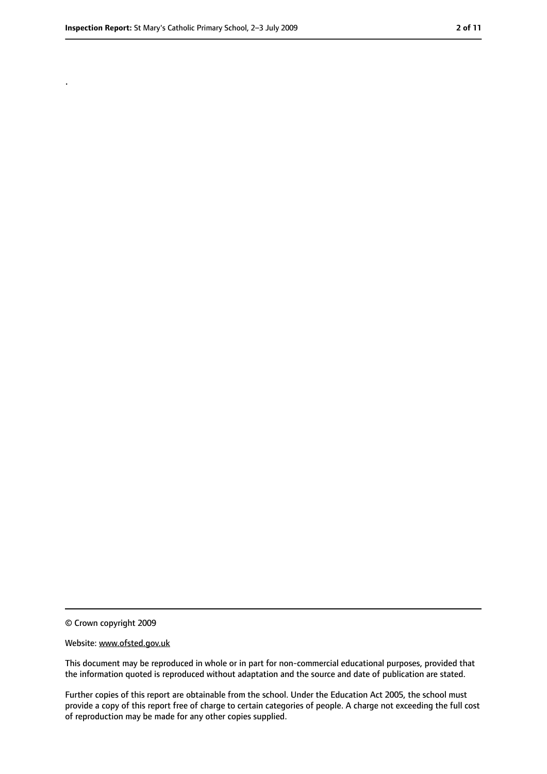.

<sup>©</sup> Crown copyright 2009

Website: www.ofsted.gov.uk

This document may be reproduced in whole or in part for non-commercial educational purposes, provided that the information quoted is reproduced without adaptation and the source and date of publication are stated.

Further copies of this report are obtainable from the school. Under the Education Act 2005, the school must provide a copy of this report free of charge to certain categories of people. A charge not exceeding the full cost of reproduction may be made for any other copies supplied.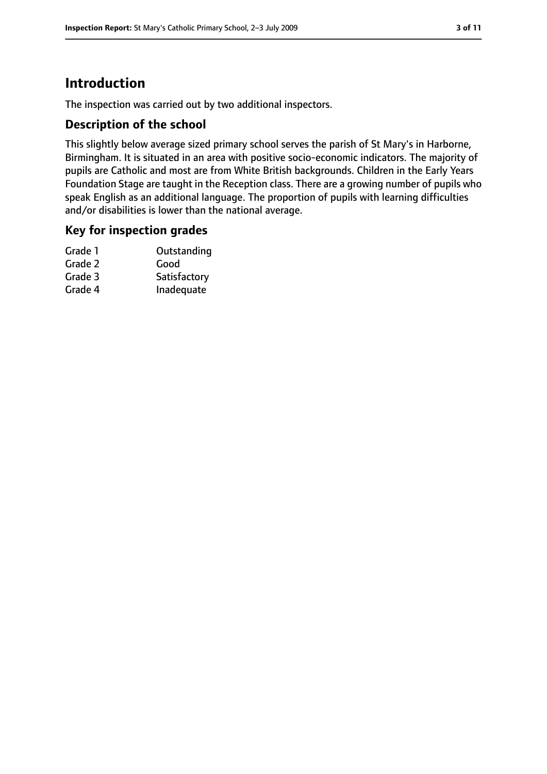### **Introduction**

The inspection was carried out by two additional inspectors.

#### **Description of the school**

This slightly below average sized primary school serves the parish of St Mary's in Harborne, Birmingham. It is situated in an area with positive socio-economic indicators. The majority of pupils are Catholic and most are from White British backgrounds. Children in the Early Years Foundation Stage are taught in the Reception class. There are a growing number of pupils who speak English as an additional language. The proportion of pupils with learning difficulties and/or disabilities is lower than the national average.

#### **Key for inspection grades**

| Grade 1 | Outstanding  |
|---------|--------------|
| Grade 2 | Good         |
| Grade 3 | Satisfactory |
| Grade 4 | Inadequate   |
|         |              |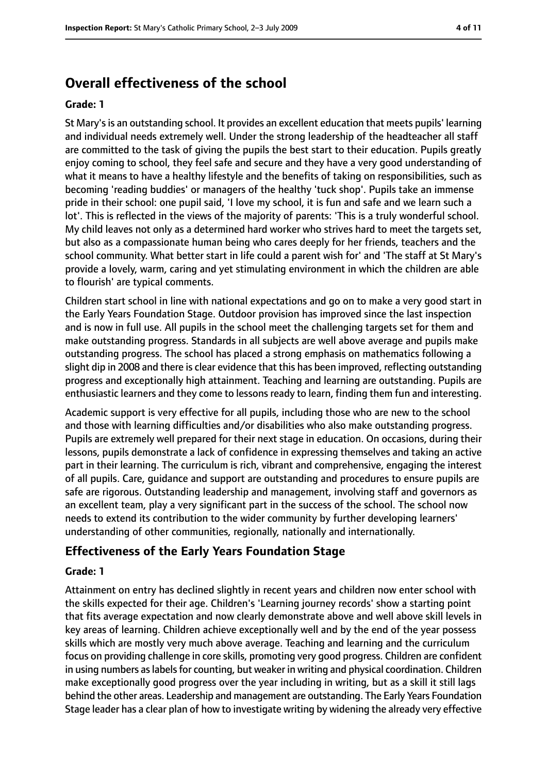### **Overall effectiveness of the school**

#### **Grade: 1**

St Mary's is an outstanding school. It provides an excellent education that meets pupils' learning and individual needs extremely well. Under the strong leadership of the headteacher all staff are committed to the task of giving the pupils the best start to their education. Pupils greatly enjoy coming to school, they feel safe and secure and they have a very good understanding of what it means to have a healthy lifestyle and the benefits of taking on responsibilities, such as becoming 'reading buddies' or managers of the healthy 'tuck shop'. Pupils take an immense pride in their school: one pupil said, 'I love my school, it is fun and safe and we learn such a lot'. This is reflected in the views of the majority of parents: 'This is a truly wonderful school. My child leaves not only as a determined hard worker who strives hard to meet the targets set, but also as a compassionate human being who cares deeply for her friends, teachers and the school community. What better start in life could a parent wish for' and 'The staff at St Mary's provide a lovely, warm, caring and yet stimulating environment in which the children are able to flourish' are typical comments.

Children start school in line with national expectations and go on to make a very good start in the Early Years Foundation Stage. Outdoor provision has improved since the last inspection and is now in full use. All pupils in the school meet the challenging targets set for them and make outstanding progress. Standards in all subjects are well above average and pupils make outstanding progress. The school has placed a strong emphasis on mathematics following a slight dip in 2008 and there is clear evidence that this has been improved, reflecting outstanding progress and exceptionally high attainment. Teaching and learning are outstanding. Pupils are enthusiastic learners and they come to lessons ready to learn, finding them fun and interesting.

Academic support is very effective for all pupils, including those who are new to the school and those with learning difficulties and/or disabilities who also make outstanding progress. Pupils are extremely well prepared for their next stage in education. On occasions, during their lessons, pupils demonstrate a lack of confidence in expressing themselves and taking an active part in their learning. The curriculum is rich, vibrant and comprehensive, engaging the interest of all pupils. Care, guidance and support are outstanding and procedures to ensure pupils are safe are rigorous. Outstanding leadership and management, involving staff and governors as an excellent team, play a very significant part in the success of the school. The school now needs to extend its contribution to the wider community by further developing learners' understanding of other communities, regionally, nationally and internationally.

### **Effectiveness of the Early Years Foundation Stage**

#### **Grade: 1**

Attainment on entry has declined slightly in recent years and children now enter school with the skills expected for their age. Children's 'Learning journey records' show a starting point that fits average expectation and now clearly demonstrate above and well above skill levels in key areas of learning. Children achieve exceptionally well and by the end of the year possess skills which are mostly very much above average. Teaching and learning and the curriculum focus on providing challenge in core skills, promoting very good progress. Children are confident in using numbers as labels for counting, but weaker in writing and physical coordination. Children make exceptionally good progress over the year including in writing, but as a skill it still lags behind the other areas. Leadership and management are outstanding. The Early Years Foundation Stage leader has a clear plan of how to investigate writing by widening the already very effective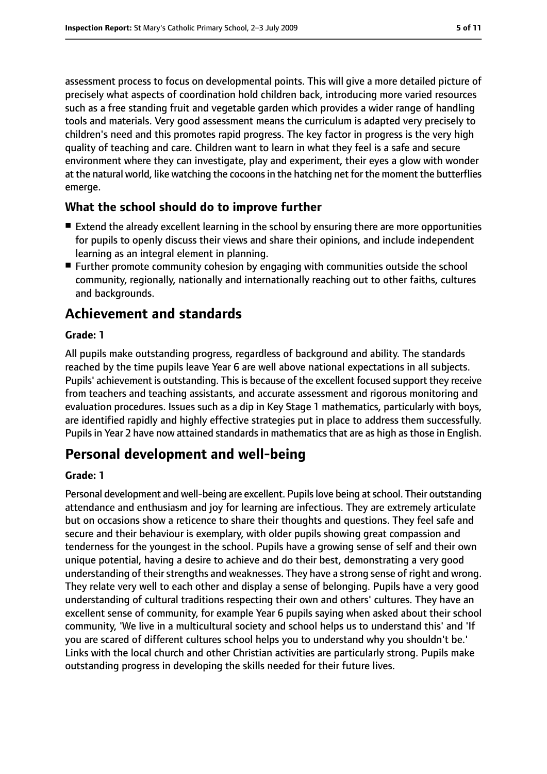assessment process to focus on developmental points. This will give a more detailed picture of precisely what aspects of coordination hold children back, introducing more varied resources such as a free standing fruit and vegetable garden which provides a wider range of handling tools and materials. Very good assessment means the curriculum is adapted very precisely to children's need and this promotes rapid progress. The key factor in progress is the very high quality of teaching and care. Children want to learn in what they feel is a safe and secure environment where they can investigate, play and experiment, their eyes a glow with wonder at the natural world, like watching the cocoons in the hatching net for the moment the butterflies emerge.

#### **What the school should do to improve further**

- Extend the already excellent learning in the school by ensuring there are more opportunities for pupils to openly discuss their views and share their opinions, and include independent learning as an integral element in planning.
- Further promote community cohesion by engaging with communities outside the school community, regionally, nationally and internationally reaching out to other faiths, cultures and backgrounds.

### **Achievement and standards**

#### **Grade: 1**

All pupils make outstanding progress, regardless of background and ability. The standards reached by the time pupils leave Year 6 are well above national expectations in all subjects. Pupils' achievement is outstanding. This is because of the excellent focused support they receive from teachers and teaching assistants, and accurate assessment and rigorous monitoring and evaluation procedures. Issues such as a dip in Key Stage 1 mathematics, particularly with boys, are identified rapidly and highly effective strategies put in place to address them successfully. Pupils in Year 2 have now attained standards in mathematics that are as high as those in English.

### **Personal development and well-being**

#### **Grade: 1**

Personal development and well-being are excellent. Pupils love being at school. Their outstanding attendance and enthusiasm and joy for learning are infectious. They are extremely articulate but on occasions show a reticence to share their thoughts and questions. They feel safe and secure and their behaviour is exemplary, with older pupils showing great compassion and tenderness for the youngest in the school. Pupils have a growing sense of self and their own unique potential, having a desire to achieve and do their best, demonstrating a very good understanding of their strengths and weaknesses. They have a strong sense of right and wrong. They relate very well to each other and display a sense of belonging. Pupils have a very good understanding of cultural traditions respecting their own and others' cultures. They have an excellent sense of community, for example Year 6 pupils saying when asked about their school community, 'We live in a multicultural society and school helps us to understand this' and 'If you are scared of different cultures school helps you to understand why you shouldn't be.' Links with the local church and other Christian activities are particularly strong. Pupils make outstanding progress in developing the skills needed for their future lives.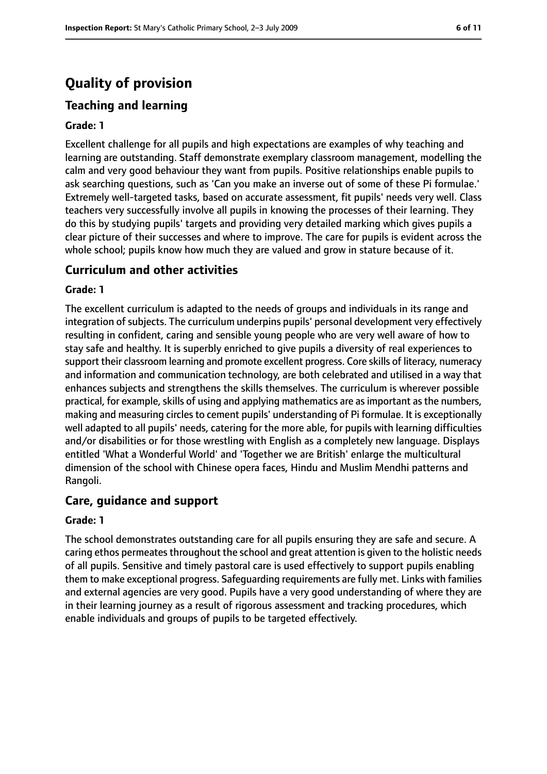### **Quality of provision**

### **Teaching and learning**

#### **Grade: 1**

Excellent challenge for all pupils and high expectations are examples of why teaching and learning are outstanding. Staff demonstrate exemplary classroom management, modelling the calm and very good behaviour they want from pupils. Positive relationships enable pupils to ask searching questions, such as 'Can you make an inverse out of some of these Pi formulae.' Extremely well-targeted tasks, based on accurate assessment, fit pupils' needs very well. Class teachers very successfully involve all pupils in knowing the processes of their learning. They do this by studying pupils' targets and providing very detailed marking which gives pupils a clear picture of their successes and where to improve. The care for pupils is evident across the whole school; pupils know how much they are valued and grow in stature because of it.

#### **Curriculum and other activities**

#### **Grade: 1**

The excellent curriculum is adapted to the needs of groups and individuals in its range and integration of subjects. The curriculum underpins pupils' personal development very effectively resulting in confident, caring and sensible young people who are very well aware of how to stay safe and healthy. It is superbly enriched to give pupils a diversity of real experiences to support their classroom learning and promote excellent progress. Core skills of literacy, numeracy and information and communication technology, are both celebrated and utilised in a way that enhances subjects and strengthens the skills themselves. The curriculum is wherever possible practical, for example, skills of using and applying mathematics are as important as the numbers, making and measuring circles to cement pupils' understanding of Pi formulae. It is exceptionally well adapted to all pupils' needs, catering for the more able, for pupils with learning difficulties and/or disabilities or for those wrestling with English as a completely new language. Displays entitled 'What a Wonderful World' and 'Together we are British' enlarge the multicultural dimension of the school with Chinese opera faces, Hindu and Muslim Mendhi patterns and Rangoli.

#### **Care, guidance and support**

#### **Grade: 1**

The school demonstrates outstanding care for all pupils ensuring they are safe and secure. A caring ethos permeates throughout the school and great attention is given to the holistic needs of all pupils. Sensitive and timely pastoral care is used effectively to support pupils enabling them to make exceptional progress. Safeguarding requirements are fully met. Links with families and external agencies are very good. Pupils have a very good understanding of where they are in their learning journey as a result of rigorous assessment and tracking procedures, which enable individuals and groups of pupils to be targeted effectively.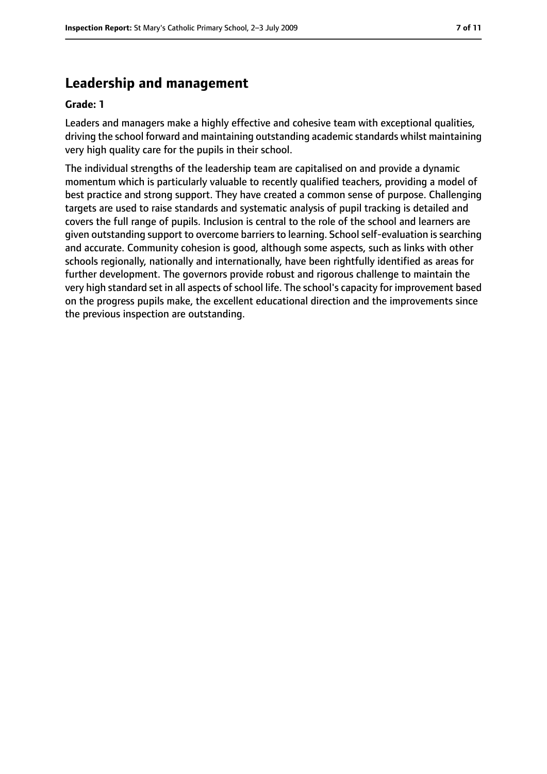### **Leadership and management**

#### **Grade: 1**

Leaders and managers make a highly effective and cohesive team with exceptional qualities, driving the school forward and maintaining outstanding academic standards whilst maintaining very high quality care for the pupils in their school.

The individual strengths of the leadership team are capitalised on and provide a dynamic momentum which is particularly valuable to recently qualified teachers, providing a model of best practice and strong support. They have created a common sense of purpose. Challenging targets are used to raise standards and systematic analysis of pupil tracking is detailed and covers the full range of pupils. Inclusion is central to the role of the school and learners are given outstanding support to overcome barriers to learning. School self-evaluation is searching and accurate. Community cohesion is good, although some aspects, such as links with other schools regionally, nationally and internationally, have been rightfully identified as areas for further development. The governors provide robust and rigorous challenge to maintain the very high standard set in all aspects of school life. The school's capacity for improvement based on the progress pupils make, the excellent educational direction and the improvements since the previous inspection are outstanding.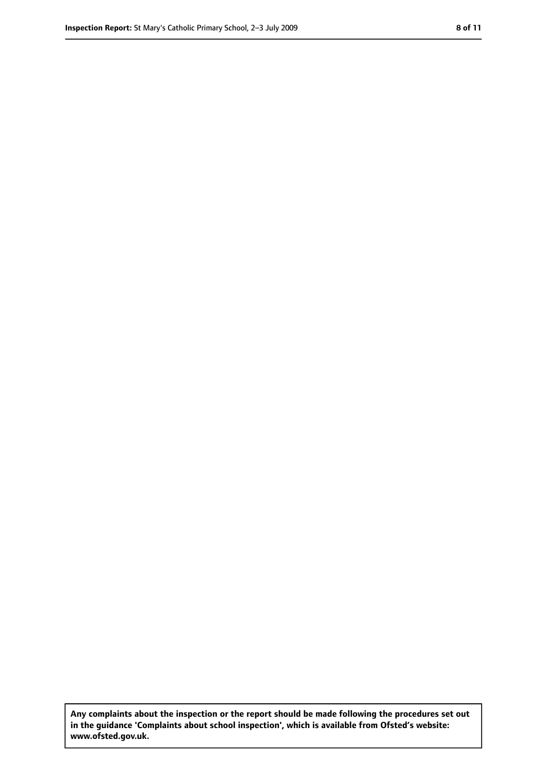**Any complaints about the inspection or the report should be made following the procedures set out in the guidance 'Complaints about school inspection', which is available from Ofsted's website: www.ofsted.gov.uk.**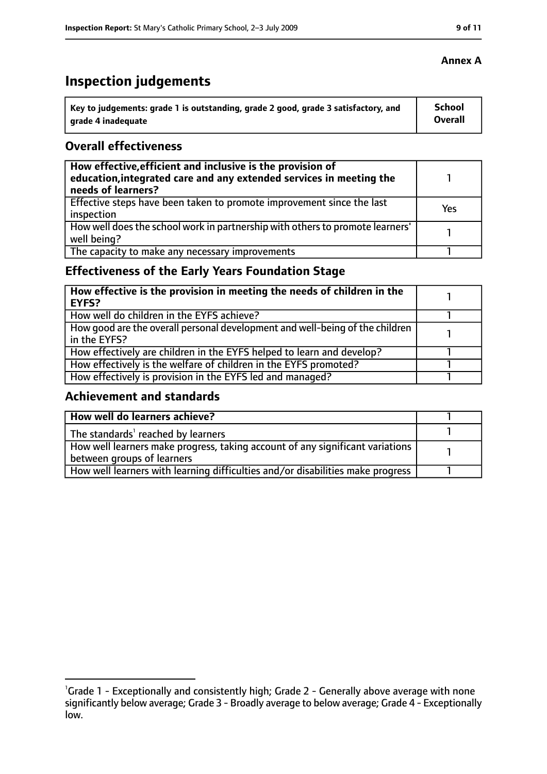## **Inspection judgements**

| Key to judgements: grade 1 is outstanding, grade 2 good, grade 3 satisfactory, and | School  |
|------------------------------------------------------------------------------------|---------|
| arade 4 inadequate                                                                 | Overall |

#### **Overall effectiveness**

| How effective, efficient and inclusive is the provision of<br>education, integrated care and any extended services in meeting the<br>needs of learners? |     |
|---------------------------------------------------------------------------------------------------------------------------------------------------------|-----|
| Effective steps have been taken to promote improvement since the last<br>inspection                                                                     | Yes |
| How well does the school work in partnership with others to promote learners'<br>well being?                                                            |     |
| The capacity to make any necessary improvements                                                                                                         |     |

### **Effectiveness of the Early Years Foundation Stage**

| How effective is the provision in meeting the needs of children in the<br><b>EYFS?</b>       |  |
|----------------------------------------------------------------------------------------------|--|
| How well do children in the EYFS achieve?                                                    |  |
| How good are the overall personal development and well-being of the children<br>in the EYFS? |  |
| How effectively are children in the EYFS helped to learn and develop?                        |  |
| How effectively is the welfare of children in the EYFS promoted?                             |  |
| How effectively is provision in the EYFS led and managed?                                    |  |

### **Achievement and standards**

| How well do learners achieve?                                                  |  |
|--------------------------------------------------------------------------------|--|
| The standards <sup>1</sup> reached by learners                                 |  |
| How well learners make progress, taking account of any significant variations  |  |
| between groups of learners                                                     |  |
| How well learners with learning difficulties and/or disabilities make progress |  |

<sup>&</sup>lt;sup>1</sup>Grade 1 - Exceptionally and consistently high; Grade 2 - Generally above average with none significantly below average; Grade 3 - Broadly average to below average; Grade 4 - Exceptionally low.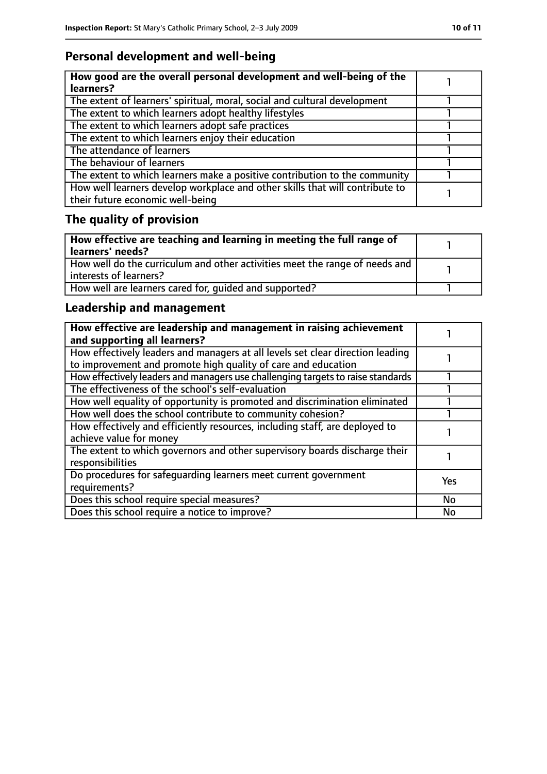### **Personal development and well-being**

| How good are the overall personal development and well-being of the<br>learners?                                 |  |
|------------------------------------------------------------------------------------------------------------------|--|
| The extent of learners' spiritual, moral, social and cultural development                                        |  |
| The extent to which learners adopt healthy lifestyles                                                            |  |
| The extent to which learners adopt safe practices                                                                |  |
| The extent to which learners enjoy their education                                                               |  |
| The attendance of learners                                                                                       |  |
| The behaviour of learners                                                                                        |  |
| The extent to which learners make a positive contribution to the community                                       |  |
| How well learners develop workplace and other skills that will contribute to<br>their future economic well-being |  |

### **The quality of provision**

| How effective are teaching and learning in meeting the full range of<br>learners' needs?              |  |
|-------------------------------------------------------------------------------------------------------|--|
| How well do the curriculum and other activities meet the range of needs and<br>interests of learners? |  |
| How well are learners cared for, quided and supported?                                                |  |

### **Leadership and management**

| How effective are leadership and management in raising achievement<br>and supporting all learners?                                              |           |
|-------------------------------------------------------------------------------------------------------------------------------------------------|-----------|
| How effectively leaders and managers at all levels set clear direction leading<br>to improvement and promote high quality of care and education |           |
| How effectively leaders and managers use challenging targets to raise standards                                                                 |           |
| The effectiveness of the school's self-evaluation                                                                                               |           |
| How well equality of opportunity is promoted and discrimination eliminated                                                                      |           |
| How well does the school contribute to community cohesion?                                                                                      |           |
| How effectively and efficiently resources, including staff, are deployed to<br>achieve value for money                                          |           |
| The extent to which governors and other supervisory boards discharge their<br>responsibilities                                                  |           |
| Do procedures for safeguarding learners meet current government<br>requirements?                                                                | Yes       |
| Does this school require special measures?                                                                                                      | <b>No</b> |
| Does this school require a notice to improve?                                                                                                   | <b>No</b> |